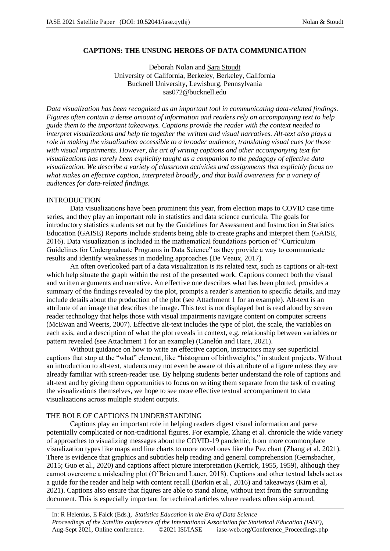# **CAPTIONS: THE UNSUNG HEROES OF DATA COMMUNICATION**

Deborah Nolan and Sara Stoudt University of California, Berkeley, Berkeley, California Bucknell University, Lewisburg, Pennsylvania sas072@bucknell.edu

*Data visualization has been recognized as an important tool in communicating data-related findings. Figures often contain a dense amount of information and readers rely on accompanying text to help guide them to the important takeaways. Captions provide the reader with the context needed to interpret visualizations and help tie together the written and visual narratives. Alt-text also plays a role in making the visualization accessible to a broader audience, translating visual cues for those with visual impairments. However, the art of writing captions and other accompanying text for visualizations has rarely been explicitly taught as a companion to the pedagogy of effective data visualization. We describe a variety of classroom activities and assignments that explicitly focus on what makes an effective caption, interpreted broadly, and that build awareness for a variety of audiences for data-related findings.* 

## INTRODUCTION

Data visualizations have been prominent this year, from election maps to COVID case time series, and they play an important role in statistics and data science curricula. The goals for introductory statistics students set out by the Guidelines for Assessment and Instruction in Statistics Education (GAISE) Reports include students being able to create graphs and interpret them (GAISE, 2016). Data visualization is included in the mathematical foundations portion of "Curriculum Guidelines for Undergraduate Programs in Data Science" as they provide a way to communicate results and identify weaknesses in modeling approaches (De Veaux, 2017).

An often overlooked part of a data visualization is its related text, such as captions or alt-text which help situate the graph within the rest of the presented work. Captions connect both the visual and written arguments and narrative. An effective one describes what has been plotted, provides a summary of the findings revealed by the plot, prompts a reader's attention to specific details, and may include details about the production of the plot (see Attachment 1 for an example). Alt-text is an attribute of an image that describes the image. This text is not displayed but is read aloud by screen reader technology that helps those with visual impairments navigate content on computer screens (McEwan and Weerts, 2007). Effective alt-text includes the type of plot, the scale, the variables on each axis, and a description of what the plot reveals in context, e.g. relationship between variables or pattern revealed (see Attachment 1 for an example) (Canelón and Hare, 2021).

Without guidance on how to write an effective caption, instructors may see superficial captions that stop at the "what" element, like "histogram of birthweights," in student projects. Without an introduction to alt-text, students may not even be aware of this attribute of a figure unless they are already familiar with screen-reader use. By helping students better understand the role of captions and alt-text and by giving them opportunities to focus on writing them separate from the task of creating the visualizations themselves, we hope to see more effective textual accompaniment to data visualizations across multiple student outputs.

## THE ROLE OF CAPTIONS IN UNDERSTANDING

Captions play an important role in helping readers digest visual information and parse potentially complicated or non-traditional figures. For example, Zhang et al. chronicle the wide variety of approaches to visualizing messages about the COVID-19 pandemic, from more commonplace visualization types like maps and line charts to more novel ones like the Pez chart (Zhang et al. 2021). There is evidence that graphics and subtitles help reading and general comprehension (Gernsbacher, 2015; Guo et al., 2020) and captions affect picture interpretation (Kerrick, 1955, 1959), although they cannot overcome a misleading plot (O'Brien and Lauer, 2018). Captions and other textual labels act as a guide for the reader and help with content recall (Borkin et al., 2016) and takeaways (Kim et al, 2021). Captions also ensure that figures are able to stand alone, without text from the surrounding document. This is especially important for technical articles where readers often skip around,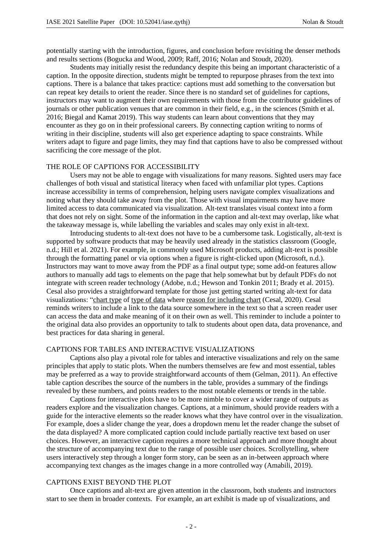potentially starting with the introduction, figures, and conclusion before revisiting the denser methods and results sections (Bogucka and Wood, 2009; Raff, 2016; Nolan and Stoudt, 2020).

Students may initially resist the redundancy despite this being an important characteristic of a caption. In the opposite direction, students might be tempted to repurpose phrases from the text into captions. There is a balance that takes practice: captions must add something to the conversation but can repeat key details to orient the reader. Since there is no standard set of guidelines for captions, instructors may want to augment their own requirements with those from the contributor guidelines of journals or other publication venues that are common in their field, e.g., in the sciences (Smith et al. 2016; Biegal and Kamat 2019). This way students can learn about conventions that they may encounter as they go on in their professional careers. By connecting caption writing to norms of writing in their discipline, students will also get experience adapting to space constraints. While writers adapt to figure and page limits, they may find that captions have to also be compressed without sacrificing the core message of the plot.

### THE ROLE OF CAPTIONS FOR ACCESSIBILITY

Users may not be able to engage with visualizations for many reasons. Sighted users may face challenges of both visual and statistical literacy when faced with unfamiliar plot types. Captions increase accessibility in terms of comprehension, helping users navigate complex visualizations and noting what they should take away from the plot. Those with visual impairments may have more limited access to data communicated via visualization. Alt-text translates visual context into a form that does not rely on sight. Some of the information in the caption and alt-text may overlap, like what the takeaway message is, while labelling the variables and scales may only exist in alt-text.

Introducing students to alt-text does not have to be a cumbersome task. Logistically, alt-text is supported by software products that may be heavily used already in the statistics classroom (Google, n.d.; Hill et al. 2021). For example, in commonly used Microsoft products, adding alt-text is possible through the formatting panel or via options when a figure is right-clicked upon (Microsoft, n.d.). Instructors may want to move away from the PDF as a final output type; some add-on features allow authors to manually add tags to elements on the page that help somewhat but by default PDFs do not integrate with screen reader technology (Adobe, n.d.; Hewson and Tonkin 2011; Brady et al. 2015). Cesal also provides a straightforward template for those just getting started writing alt-text for data visualizations: "chart type of type of data where reason for including chart (Cesal, 2020). Cesal reminds writers to include a link to the data source somewhere in the text so that a screen reader user can access the data and make meaning of it on their own as well. This reminder to include a pointer to the original data also provides an opportunity to talk to students about open data, data provenance, and best practices for data sharing in general.

### CAPTIONS FOR TABLES AND INTERACTIVE VISUALIZATIONS

Captions also play a pivotal role for tables and interactive visualizations and rely on the same principles that apply to static plots. When the numbers themselves are few and most essential, tables may be preferred as a way to provide straightforward accounts of them (Gelman, 2011). An effective table caption describes the source of the numbers in the table, provides a summary of the findings revealed by these numbers, and points readers to the most notable elements or trends in the table.

Captions for interactive plots have to be more nimble to cover a wider range of outputs as readers explore and the visualization changes. Captions, at a minimum, should provide readers with a guide for the interactive elements so the reader knows what they have control over in the visualization. For example, does a slider change the year, does a dropdown menu let the reader change the subset of the data displayed? A more complicated caption could include partially reactive text based on user choices. However, an interactive caption requires a more technical approach and more thought about the structure of accompanying text due to the range of possible user choices. Scrollytelling, where users interactively step through a longer form story, can be seen as an in-between approach where accompanying text changes as the images change in a more controlled way (Amabili, 2019).

### CAPTIONS EXIST BEYOND THE PLOT

Once captions and alt-text are given attention in the classroom, both students and instructors start to see them in broader contexts. For example, an art exhibit is made up of visualizations, and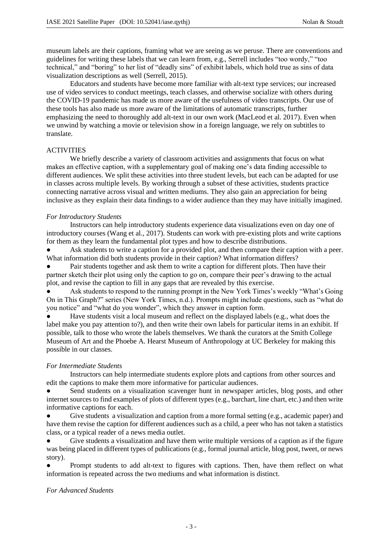museum labels are their captions, framing what we are seeing as we peruse. There are conventions and guidelines for writing these labels that we can learn from, e.g., Serrell includes "too wordy," "too technical," and "boring" to her list of "deadly sins" of exhibit labels, which hold true as sins of data visualization descriptions as well (Serrell, 2015).

Educators and students have become more familiar with alt-text type services; our increased use of video services to conduct meetings, teach classes, and otherwise socialize with others during the COVID-19 pandemic has made us more aware of the usefulness of video transcripts. Our use of these tools has also made us more aware of the limitations of automatic transcripts, further emphasizing the need to thoroughly add alt-text in our own work (MacLeod et al. 2017). Even when we unwind by watching a movie or television show in a foreign language, we rely on subtitles to translate.

# **ACTIVITIES**

We briefly describe a variety of classroom activities and assignments that focus on what makes an effective caption, with a supplementary goal of making one's data finding accessible to different audiences. We split these activities into three student levels, but each can be adapted for use in classes across multiple levels. By working through a subset of these activities, students practice connecting narrative across visual and written mediums. They also gain an appreciation for being inclusive as they explain their data findings to a wider audience than they may have initially imagined.

### *For Introductory Students*

Instructors can help introductory students experience data visualizations even on day one of introductory courses (Wang et al., 2017). Students can work with pre-existing plots and write captions for them as they learn the fundamental plot types and how to describe distributions.

Ask students to write a caption for a provided plot, and then compare their caption with a peer. What information did both students provide in their caption? What information differs?

Pair students together and ask them to write a caption for different plots. Then have their partner sketch their plot using only the caption to go on, compare their peer's drawing to the actual plot, and revise the caption to fill in any gaps that are revealed by this exercise.

Ask students to respond to the running prompt in the New York Times's weekly "What's Going On in This Graph?" series (New York Times, n.d.). Prompts might include questions, such as "what do you notice" and "what do you wonder", which they answer in caption form.

Have students visit a local museum and reflect on the displayed labels (e.g., what does the label make you pay attention to?), and then write their own labels for particular items in an exhibit. If possible, talk to those who wrote the labels themselves. We thank the curators at the Smith College Museum of Art and the Phoebe A. Hearst Museum of Anthropology at UC Berkeley for making this possible in our classes.

### *For Intermediate Students*

Instructors can help intermediate students explore plots and captions from other sources and edit the captions to make them more informative for particular audiences.

Send students on a visualization scavenger hunt in newspaper articles, blog posts, and other internet sources to find examples of plots of different types (e.g., barchart, line chart, etc.) and then write informative captions for each.

● Give students a visualization and caption from a more formal setting (e.g., academic paper) and have them revise the caption for different audiences such as a child, a peer who has not taken a statistics class, or a typical reader of a news media outlet.

Give students a visualization and have them write multiple versions of a caption as if the figure was being placed in different types of publications (e.g., formal journal article, blog post, tweet, or news story).

Prompt students to add alt-text to figures with captions. Then, have them reflect on what information is repeated across the two mediums and what information is distinct.

### *For Advanced Students*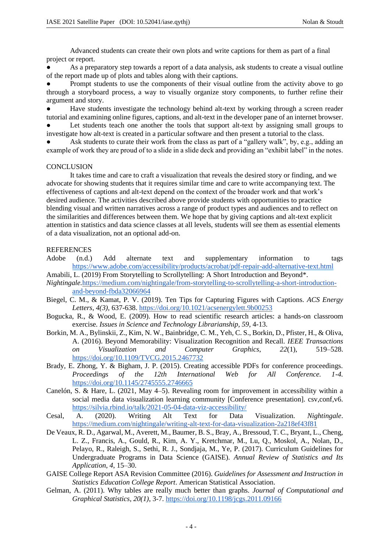Advanced students can create their own plots and write captions for them as part of a final project or report.

As a preparatory step towards a report of a data analysis, ask students to create a visual outline of the report made up of plots and tables along with their captions.

Prompt students to use the components of their visual outline from the activity above to go through a storyboard process, a way to visually organize story components, to further refine their argument and story.

Have students investigate the technology behind alt-text by working through a screen reader tutorial and examining online figures, captions, and alt-text in the developer pane of an internet browser. Let students teach one another the tools that support alt-text by assigning small groups to

investigate how alt-text is created in a particular software and then present a tutorial to the class. Ask students to curate their work from the class as part of a "gallery walk", by, e.g., adding an example of work they are proud of to a slide in a slide deck and providing an "exhibit label" in the notes.

#### **CONCLUSION**

It takes time and care to craft a visualization that reveals the desired story or finding, and we advocate for showing students that it requires similar time and care to write accompanying text. The effectiveness of captions and alt-text depend on the context of the broader work and that work's desired audience. The activities described above provide students with opportunities to practice blending visual and written narratives across a range of product types and audiences and to reflect on the similarities and differences between them. We hope that by giving captions and alt-text explicit attention in statistics and data science classes at all levels, students will see them as essential elements of a data visualization, not an optional add-on.

#### **REFERENCES**

Adobe (n.d.) Add alternate text and supplementary information to tags https://www.adobe.com/accessibility/products/acrobat/pdf-repair-add-alternative-text.html

Amabili, L. (2019) From Storytelling to Scrollytelling: A Short Introduction and Beyond\*.

- *Nightingale.*https://medium.com/nightingale/from-storytelling-to-scrollytelling-a-short-introductionand-beyond-fbda32066964
- Biegel, C. M., & Kamat, P. V. (2019). Ten Tips for Capturing Figures with Captions. *ACS Energy Letters, 4(3),* 637-638. https://doi.org/10.1021/acsenergylett.9b00253
- Bogucka, R., & Wood, E. (2009). How to read scientific research articles: a hands-on classroom exercise. *Issues in Science and Technology Librarianship, 59*, 4-13.
- Borkin, M. A., Bylinskii, Z., Kim, N. W., Bainbridge, C. M., Yeh, C. S., Borkin, D., Pfister, H., & Oliva, A. (2016). Beyond Memorability: Visualization Recognition and Recall. *IEEE Transactions on Visualization and Computer Graphics*, *22*(1), 519–528. https://doi.org/10.1109/TVCG.2015.2467732
- Brady, E. Zhong, Y. & Bigham, J. P. (2015). Creating accessible PDFs for conference proceedings. *Proceedings of the 12th International Web for All Conference. 1-4.*  https://doi.org/10.1145/2745555.2746665
- Canelón, S. & Hare, L. (2021, May 4–5). Revealing room for improvement in accessibility within a social media data visualization learning community [Conference presentation]. csv,conf,v6. https://silvia.rbind.io/talk/2021-05-04-data-viz-accessibility/
- Cesal, A. (2020). Writing Alt Text for Data Visualization. *Nightingale*. https://medium.com/nightingale/writing-alt-text-for-data-visualization-2a218ef43f81
- De Veaux, R. D., Agarwal, M., Averett, M., Baumer, B. S., Bray, A., Bressoud, T. C., Bryant, L., Cheng, L. Z., Francis, A., Gould, R., Kim, A. Y., Kretchmar, M., Lu, Q., Moskol, A., Nolan, D., Pelayo, R., Raleigh, S., Sethi, R. J., Sondjaja, M., Ye, P. (2017). Curriculum Guidelines for Undergraduate Programs in Data Science (GAISE). *Annual Review of Statistics and Its Application*, *4*, 15–30.
- GAISE College Report ASA Revision Committee (2016). *Guidelines for Assessment and Instruction in Statistics Education College Report*. American Statistical Association.
- Gelman, A. (2011). Why tables are really much better than graphs. *Journal of Computational and Graphical Statistics, 20(1)*, 3-7. https://doi.org/10.1198/jcgs.2011.09166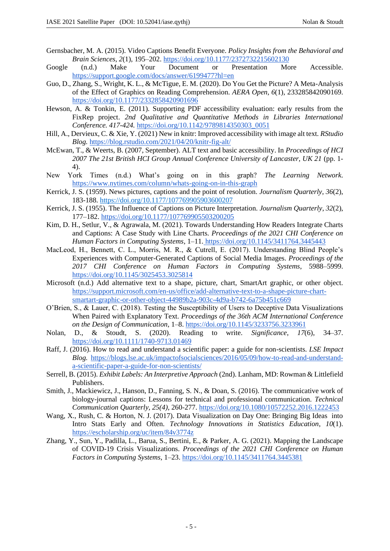- Gernsbacher, M. A. (2015). Video Captions Benefit Everyone. *Policy Insights from the Behavioral and Brain Sciences*, *2*(1), 195–202. https://doi.org/10.1177/2372732215602130
- Google (n.d.) Make Your Document or Presentation More Accessible. https://support.google.com/docs/answer/6199477?hl=en
- Guo, D., Zhang, S., Wright, K. L., & McTigue, E. M. (2020). Do You Get the Picture? A Meta-Analysis of the Effect of Graphics on Reading Comprehension. *AERA Open*, *6*(1), 233285842090169. https://doi.org/10.1177/2332858420901696
- Hewson, A. & Tonkin, E. (2011). Supporting PDF accessibility evaluation: early results from the FixRep project. *2nd Qualitative and Quantitative Methods in Libraries International Conference. 417-424.* https://doi.org/10.1142/9789814350303\_0051
- Hill, A., Dervieux, C. & Xie, Y. (2021) New in knitr: Improved accessibility with image alt text. *RStudio Blog.* https://blog.rstudio.com/2021/04/20/knitr-fig-alt/
- McEwan, T., & Weerts, B. (2007, September). ALT text and basic accessibility. In *Proceedings of HCI 2007 The 21st British HCI Group Annual Conference University of Lancaster, UK 21* (pp. 1- 4).
- New York Times (n.d.) What's going on in this graph? *The Learning Network*. https://www.nytimes.com/column/whats-going-on-in-this-graph
- Kerrick, J. S. (1959). News pictures, captions and the point of resolution. *Journalism Quarterly*, *36*(2), 183-188. https://doi.org/10.1177/107769905903600207
- Kerrick, J. S. (1955). The Influence of Captions on Picture Interpretation. *Journalism Quarterly*, *32*(2), 177–182. https://doi.org/10.1177/107769905503200205
- Kim, D. H., Setlur, V., & Agrawala, M. (2021). Towards Understanding How Readers Integrate Charts and Captions: A Case Study with Line Charts. *Proceedings of the 2021 CHI Conference on Human Factors in Computing Systems*, 1–11. https://doi.org/10.1145/3411764.3445443
- MacLeod, H., Bennett, C. L., Morris, M. R., & Cutrell, E. (2017). Understanding Blind People's Experiences with Computer-Generated Captions of Social Media Images. *Proceedings of the 2017 CHI Conference on Human Factors in Computing Systems*, 5988–5999. https://doi.org/10.1145/3025453.3025814
- Microsoft (n.d.) Add alternative text to a shape, picture, chart, SmartArt graphic, or other object. https://support.microsoft.com/en-us/office/add-alternative-text-to-a-shape-picture-chartsmartart-graphic-or-other-object-44989b2a-903c-4d9a-b742-6a75b451c669
- O'Brien, S., & Lauer, C. (2018). Testing the Susceptibility of Users to Deceptive Data Visualizations When Paired with Explanatory Text. *Proceedings of the 36th ACM International Conference on the Design of Communication*, 1–8. https://doi.org/10.1145/3233756.3233961
- Nolan, D., & Stoudt, S. (2020). Reading to write. *Significance*, *17*(6), 34–37. https://doi.org/10.1111/1740-9713.01469
- Raff, J. (2016). How to read and understand a scientific paper: a guide for non-scientists. *LSE Impact Blog.* https://blogs.lse.ac.uk/impactofsocialsciences/2016/05/09/how-to-read-and-understanda-scientific-paper-a-guide-for-non-scientists/
- Serrell, B. (2015). *Exhibit Labels: An Interpretive Approach* (2nd). Lanham, MD: Rowman & Littlefield Publishers.
- Smith, J., Mackiewicz, J., Hanson, D., Fanning, S. N., & Doan, S. (2016). The communicative work of biology-journal captions: Lessons for technical and professional communication. *Technical Communication Quarterly, 25(4)*, 260-277. https://doi.org/10.1080/10572252.2016.1222453
- Wang, X., Rush, C. & Horton, N. J. (2017). Data Visualization on Day One: Bringing Big Ideas into Intro Stats Early and Often. *Technology Innovations in Statistics Education*, *10*(1). https://escholarship.org/uc/item/84v3774z
- Zhang, Y., Sun, Y., Padilla, L., Barua, S., Bertini, E., & Parker, A. G. (2021). Mapping the Landscape of COVID-19 Crisis Visualizations. *Proceedings of the 2021 CHI Conference on Human Factors in Computing Systems*, 1–23. https://doi.org/10.1145/3411764.3445381